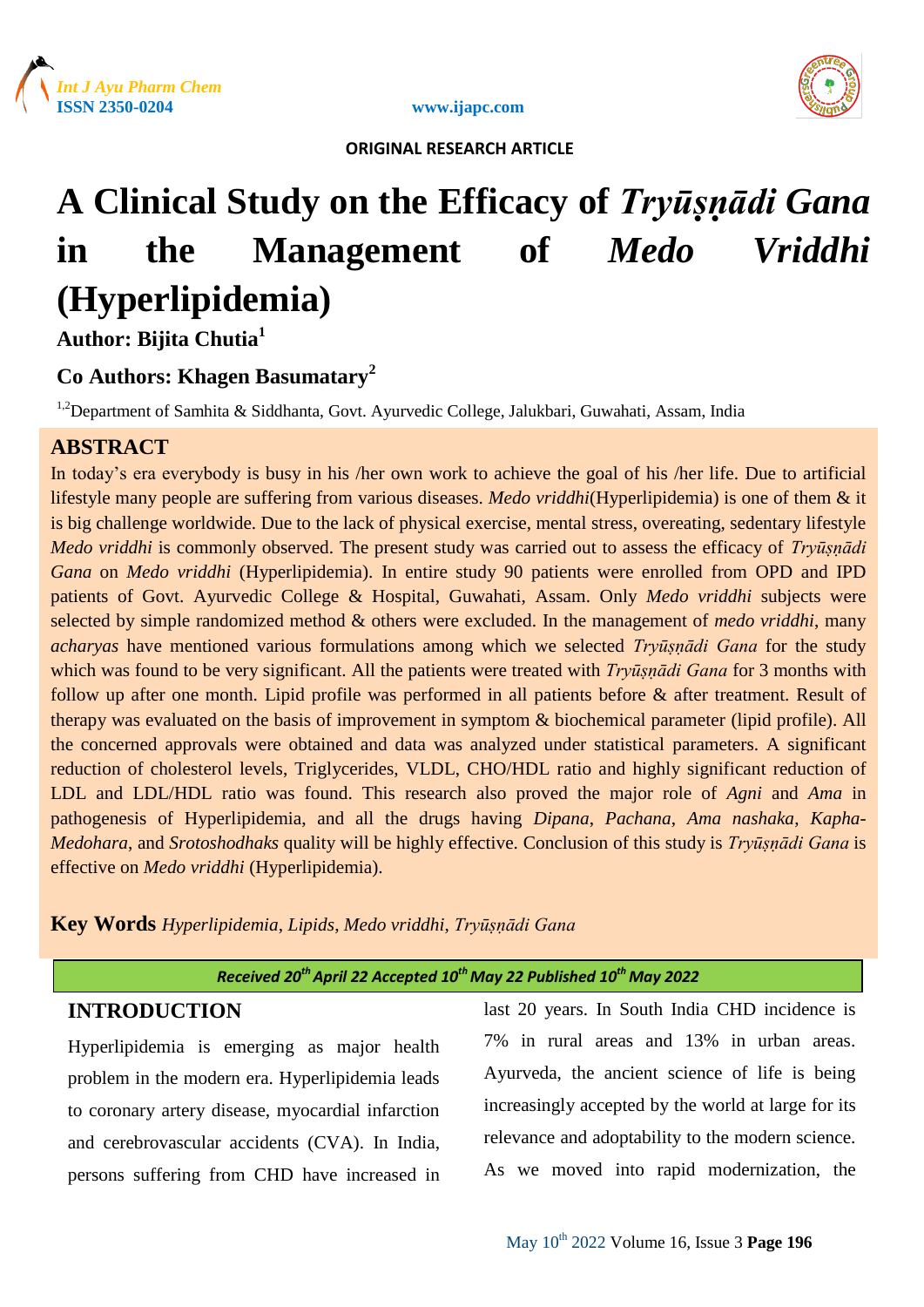





# **A Clinical Study on the Efficacy of** *Tryūṣṇādi Gana* **in the Management of** *Medo Vriddhi* **(Hyperlipidemia)**

**Author: Bijita Chutia<sup>1</sup>**

# **Co Authors: Khagen Basumatary<sup>2</sup>**

<sup>1,2</sup>Department of Samhita & Siddhanta, Govt. Ayurvedic College, Jalukbari, Guwahati, Assam, India

# **ABSTRACT**

In today's era everybody is busy in his /her own work to achieve the goal of his /her life. Due to artificial lifestyle many people are suffering from various diseases. *Medo vriddhi*(Hyperlipidemia) is one of them & it is big challenge worldwide. Due to the lack of physical exercise, mental stress, overeating, sedentary lifestyle *Medo vriddhi* is commonly observed. The present study was carried out to assess the efficacy of *Tryūṣṇādi Gana* on *Medo vriddhi* (Hyperlipidemia). In entire study 90 patients were enrolled from OPD and IPD patients of Govt. Ayurvedic College & Hospital, Guwahati, Assam. Only *Medo vriddhi* subjects were selected by simple randomized method & others were excluded. In the management of *medo vriddhi*, many *acharyas* have mentioned various formulations among which we selected *Tryūṣṇādi Gana* for the study which was found to be very significant. All the patients were treated with *Tryūṣṇādi Gana* for 3 months with follow up after one month. Lipid profile was performed in all patients before & after treatment. Result of therapy was evaluated on the basis of improvement in symptom & biochemical parameter (lipid profile). All the concerned approvals were obtained and data was analyzed under statistical parameters. A significant reduction of cholesterol levels, Triglycerides, VLDL, CHO/HDL ratio and highly significant reduction of LDL and LDL/HDL ratio was found. This research also proved the major role of *Agni* and *Ama* in pathogenesis of Hyperlipidemia, and all the drugs having *Dipana*, *Pachana*, *Ama nashaka*, *Kapha*-*Medohara*, and *Srotoshodhaks* quality will be highly effective. Conclusion of this study is *Tryūṣṇādi Gana* is effective on *Medo vriddhi* (Hyperlipidemia).

**Key Words** *Hyperlipidemia*, *Lipids*, *Medo vriddhi*, *Tryūṣṇādi Gana*

*Received 20thApril 22 Accepted 10 th May 22 Published 10th May 2022*

# **INTRODUCTION**

Hyperlipidemia is emerging as major health problem in the modern era. Hyperlipidemia leads to coronary artery disease, myocardial infarction and cerebrovascular accidents (CVA). In India, persons suffering from CHD have increased in last 20 years. In South India CHD incidence is 7% in rural areas and 13% in urban areas. Ayurveda, the ancient science of life is being increasingly accepted by the world at large for its relevance and adoptability to the modern science. As we moved into rapid modernization, the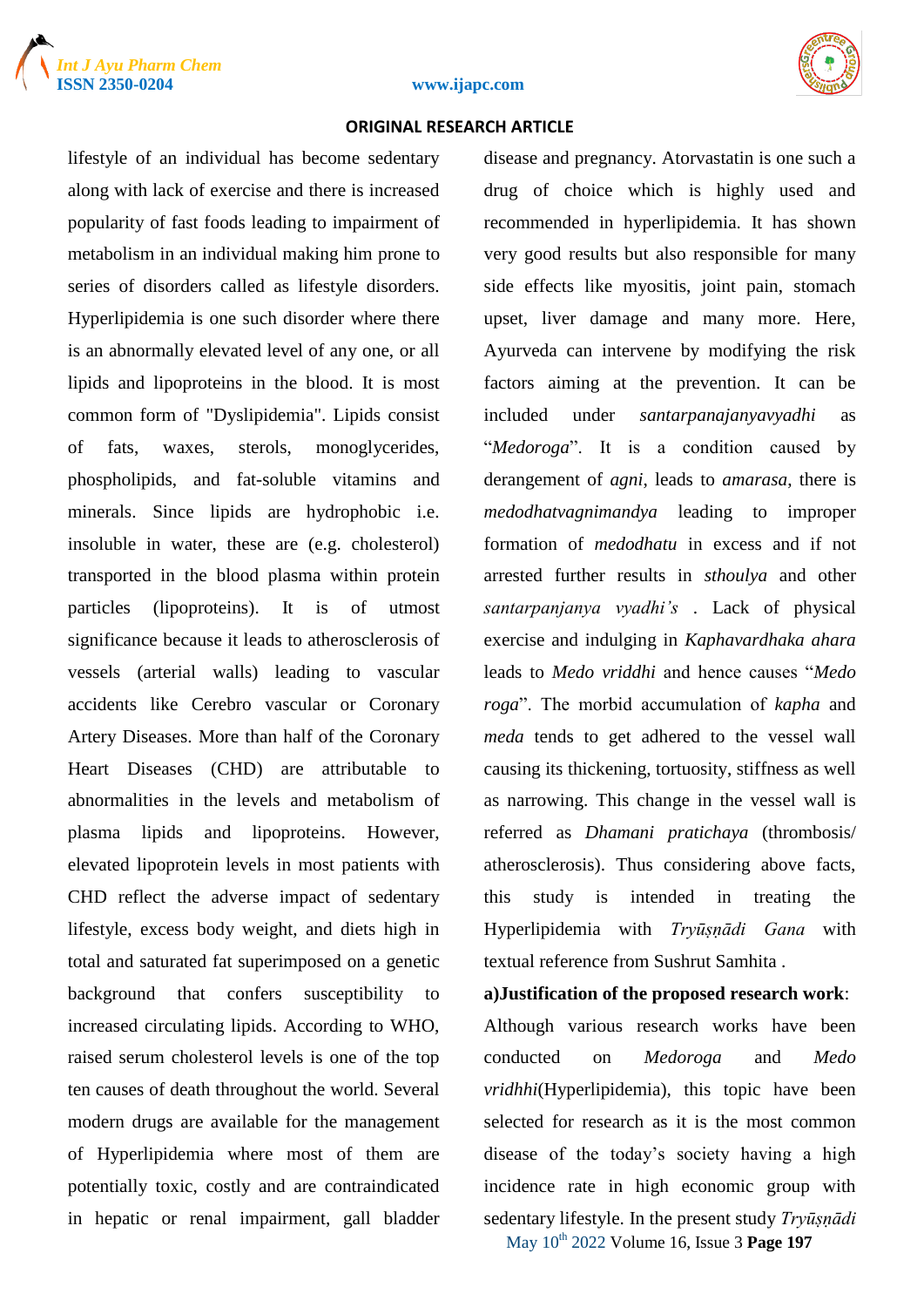



#### **ISSN 2350-0204 www.ijapc.com**

#### **ORIGINAL RESEARCH ARTICLE**

lifestyle of an individual has become sedentary along with lack of exercise and there is increased popularity of fast foods leading to impairment of metabolism in an individual making him prone to series of disorders called as lifestyle disorders. Hyperlipidemia is one such disorder where there is an abnormally elevated level of any one, or all lipids and lipoproteins in the blood. It is most common form of "Dyslipidemia". Lipids consist of fats, waxes, sterols, monoglycerides, phospholipids, and fat-soluble vitamins and minerals. Since lipids are hydrophobic i.e. insoluble in water, these are (e.g. cholesterol) transported in the blood plasma within protein particles (lipoproteins). It is of utmost significance because it leads to atherosclerosis of vessels (arterial walls) leading to vascular accidents like Cerebro vascular or Coronary Artery Diseases. More than half of the Coronary Heart Diseases (CHD) are attributable to abnormalities in the levels and metabolism of plasma lipids and lipoproteins. However, elevated lipoprotein levels in most patients with CHD reflect the adverse impact of sedentary lifestyle, excess body weight, and diets high in total and saturated fat superimposed on a genetic background that confers susceptibility to increased circulating lipids. According to WHO, raised serum cholesterol levels is one of the top ten causes of death throughout the world. Several modern drugs are available for the management of Hyperlipidemia where most of them are potentially toxic, costly and are contraindicated in hepatic or renal impairment, gall bladder

disease and pregnancy. Atorvastatin is one such a drug of choice which is highly used and recommended in hyperlipidemia. It has shown very good results but also responsible for many side effects like myositis, joint pain, stomach upset, liver damage and many more. Here, Ayurveda can intervene by modifying the risk factors aiming at the prevention. It can be included under *santarpanajanyavyadhi* as "*Medoroga*". It is a condition caused by derangement of *agni*, leads to *amarasa*, there is *medodhatvagnimandya* leading to improper formation of *medodhatu* in excess and if not arrested further results in *sthoulya* and other *santarpanjanya vyadhi's* . Lack of physical exercise and indulging in *Kaphavardhaka ahara* leads to *Medo vriddhi* and hence causes "*Medo roga*". The morbid accumulation of *kapha* and *meda* tends to get adhered to the vessel wall causing its thickening, tortuosity, stiffness as well as narrowing. This change in the vessel wall is referred as *Dhamani pratichaya* (thrombosis/ atherosclerosis). Thus considering above facts, this study is intended in treating the Hyperlipidemia with *Tryūṣṇādi Gana* with textual reference from Sushrut Samhita .

#### **a)Justification of the proposed research work**:

Although various research works have been conducted on *Medoroga* and *Medo vridhhi*(Hyperlipidemia), this topic have been selected for research as it is the most common disease of the today's society having a high incidence rate in high economic group with sedentary lifestyle. In the present study *Tryūṣṇādi* 

May 10th 2022 Volume 16, Issue 3 **Page 197**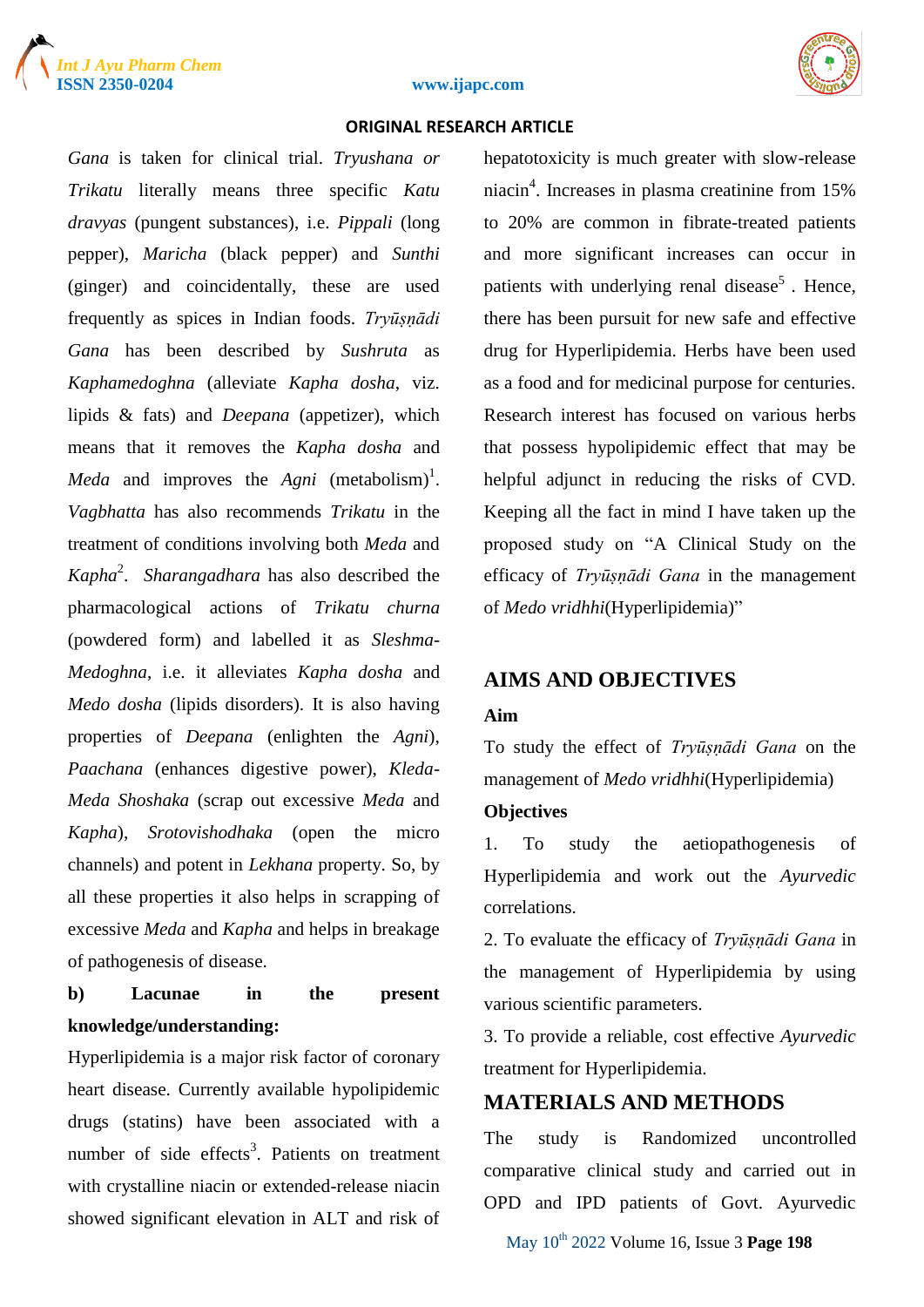



#### **ISSN 2350-0204 www.ijapc.com**

#### **ORIGINAL RESEARCH ARTICLE**

*Gana* is taken for clinical trial. *Tryushana or Trikatu* literally means three specific *Katu dravyas* (pungent substances), i.e. *Pippali* (long pepper), *Maricha* (black pepper) and *Sunthi* (ginger) and coincidentally, these are used frequently as spices in Indian foods. *Tryūṣṇādi Gana* has been described by *Sushruta* as *Kaphamedoghna* (alleviate *Kapha dosha*, viz. lipids & fats) and *Deepana* (appetizer), which means that it removes the *Kapha dosha* and *Meda* and improves the  $Agni$  (metabolism)<sup>1</sup>. *Vagbhatta* has also recommends *Trikatu* in the treatment of conditions involving both *Meda* and *Kapha*<sup>2</sup> . *Sharangadhara* has also described the pharmacological actions of *Trikatu churna*  (powdered form) and labelled it as *Sleshma-Medoghna*, i.e. it alleviates *Kapha dosha* and *Medo dosha* (lipids disorders). It is also having properties of *Deepana* (enlighten the *Agni*), *Paachana* (enhances digestive power), *Kleda-Meda Shoshaka* (scrap out excessive *Meda* and *Kapha*), *Srotovishodhaka* (open the micro channels) and potent in *Lekhana* property. So, by all these properties it also helps in scrapping of excessive *Meda* and *Kapha* and helps in breakage of pathogenesis of disease.

# **b) Lacunae in the present knowledge/understanding:**

Hyperlipidemia is a major risk factor of coronary heart disease. Currently available hypolipidemic drugs (statins) have been associated with a number of side effects<sup>3</sup>. Patients on treatment with crystalline niacin or extended-release niacin showed significant elevation in ALT and risk of

hepatotoxicity is much greater with slow-release niacin<sup>4</sup>. Increases in plasma creatinine from 15% to 20% are common in fibrate-treated patients and more significant increases can occur in patients with underlying renal disease<sup>5</sup>. Hence, there has been pursuit for new safe and effective drug for Hyperlipidemia. Herbs have been used as a food and for medicinal purpose for centuries. Research interest has focused on various herbs that possess hypolipidemic effect that may be helpful adjunct in reducing the risks of CVD. Keeping all the fact in mind I have taken up the proposed study on "A Clinical Study on the efficacy of *Tryūṣṇādi Gana* in the management of *Medo vridhhi*(Hyperlipidemia)"

# **AIMS AND OBJECTIVES**

#### **Aim**

To study the effect of *Tryūṣṇādi Gana* on the management of *Medo vridhhi*(Hyperlipidemia)

## **Objectives**

1. To study the aetiopathogenesis of Hyperlipidemia and work out the *Ayurvedic*  correlations.

2. To evaluate the efficacy of *Tryūṣṇādi Gana* in the management of Hyperlipidemia by using various scientific parameters.

3. To provide a reliable, cost effective *Ayurvedic*  treatment for Hyperlipidemia.

# **MATERIALS AND METHODS**

The study is Randomized uncontrolled comparative clinical study and carried out in OPD and IPD patients of Govt. Ayurvedic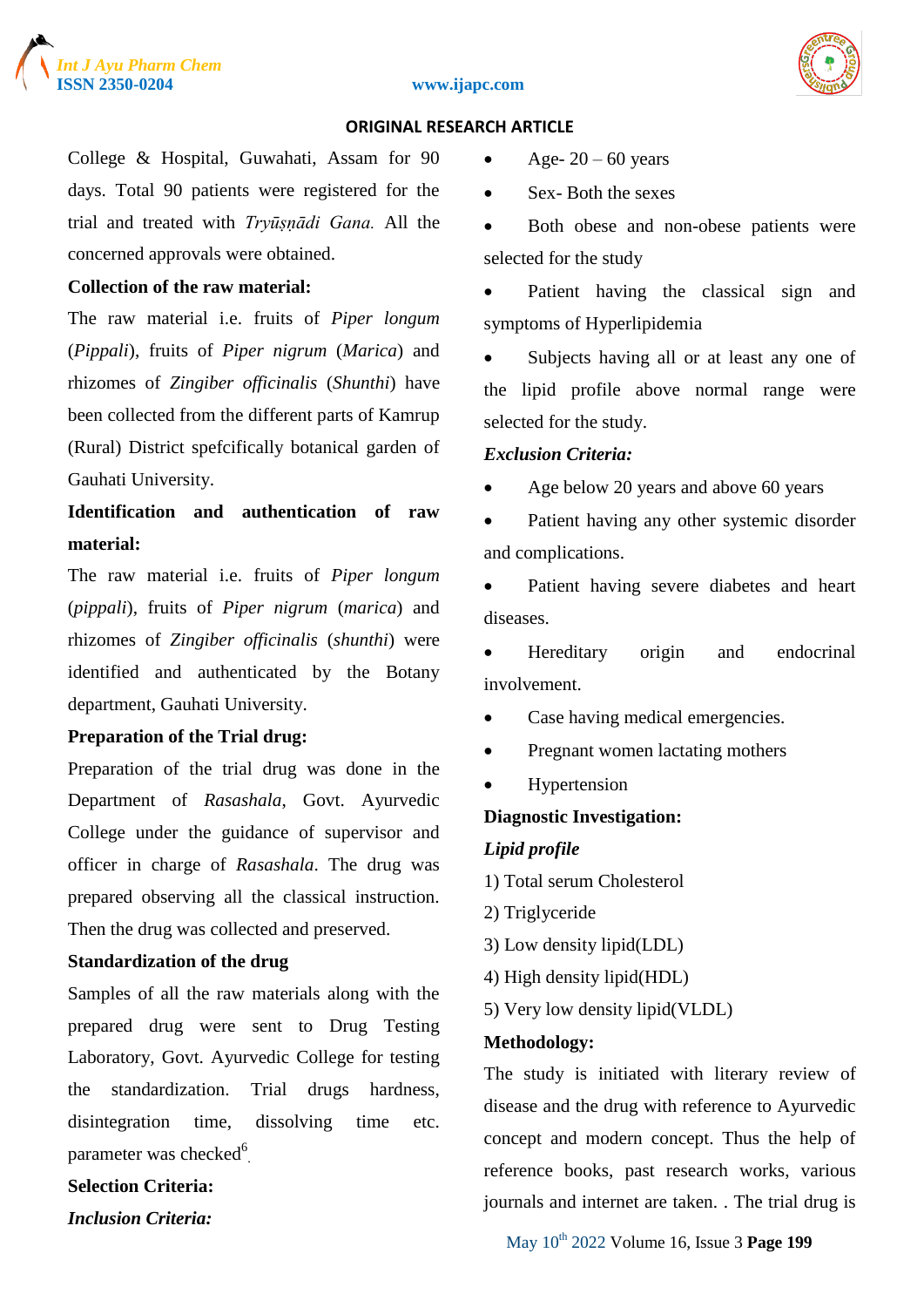

#### **ISSN 2350-0204 www.ijapc.com**



#### **ORIGINAL RESEARCH ARTICLE**

College & Hospital, Guwahati, Assam for 90 days. Total 90 patients were registered for the trial and treated with *Tryūṣṇādi Gana.* All the concerned approvals were obtained.

#### **Collection of the raw material:**

The raw material i.e. fruits of *Piper longum*  (*Pippali*), fruits of *Piper nigrum* (*Marica*) and rhizomes of *Zingiber officinalis* (*Shunthi*) have been collected from the different parts of Kamrup (Rural) District spefcifically botanical garden of Gauhati University.

**Identification and authentication of raw material:**

The raw material i.e. fruits of *Piper longum*  (*pippali*), fruits of *Piper nigrum* (*marica*) and rhizomes of *Zingiber officinalis* (*shunthi*) were identified and authenticated by the Botany department, Gauhati University.

#### **Preparation of the Trial drug:**

Preparation of the trial drug was done in the Department of *Rasashala*, Govt. Ayurvedic College under the guidance of supervisor and officer in charge of *Rasashala*. The drug was prepared observing all the classical instruction. Then the drug was collected and preserved.

## **Standardization of the drug**

Samples of all the raw materials along with the prepared drug were sent to Drug Testing Laboratory, Govt. Ayurvedic College for testing the standardization. Trial drugs hardness, disintegration time, dissolving time etc. parameter was checked<sup>6</sup>.

# **Selection Criteria:**

*Inclusion Criteria:*

• Age-  $20 - 60$  years

• Sex-Both the sexes

 Both obese and non-obese patients were selected for the study

• Patient having the classical sign and symptoms of Hyperlipidemia

• Subjects having all or at least any one of the lipid profile above normal range were selected for the study.

#### *Exclusion Criteria:*

• Age below 20 years and above 60 years

• Patient having any other systemic disorder and complications.

 Patient having severe diabetes and heart diseases.

 Hereditary origin and endocrinal involvement.

- Case having medical emergencies.
- Pregnant women lactating mothers
- Hypertension

#### **Diagnostic Investigation:**

#### *Lipid profile*

- 1) Total serum Cholesterol
- 2) Triglyceride
- 3) Low density lipid(LDL)
- 4) High density lipid(HDL)
- 5) Very low density lipid(VLDL)

#### **Methodology:**

The study is initiated with literary review of disease and the drug with reference to Ayurvedic concept and modern concept. Thus the help of reference books, past research works, various journals and internet are taken. . The trial drug is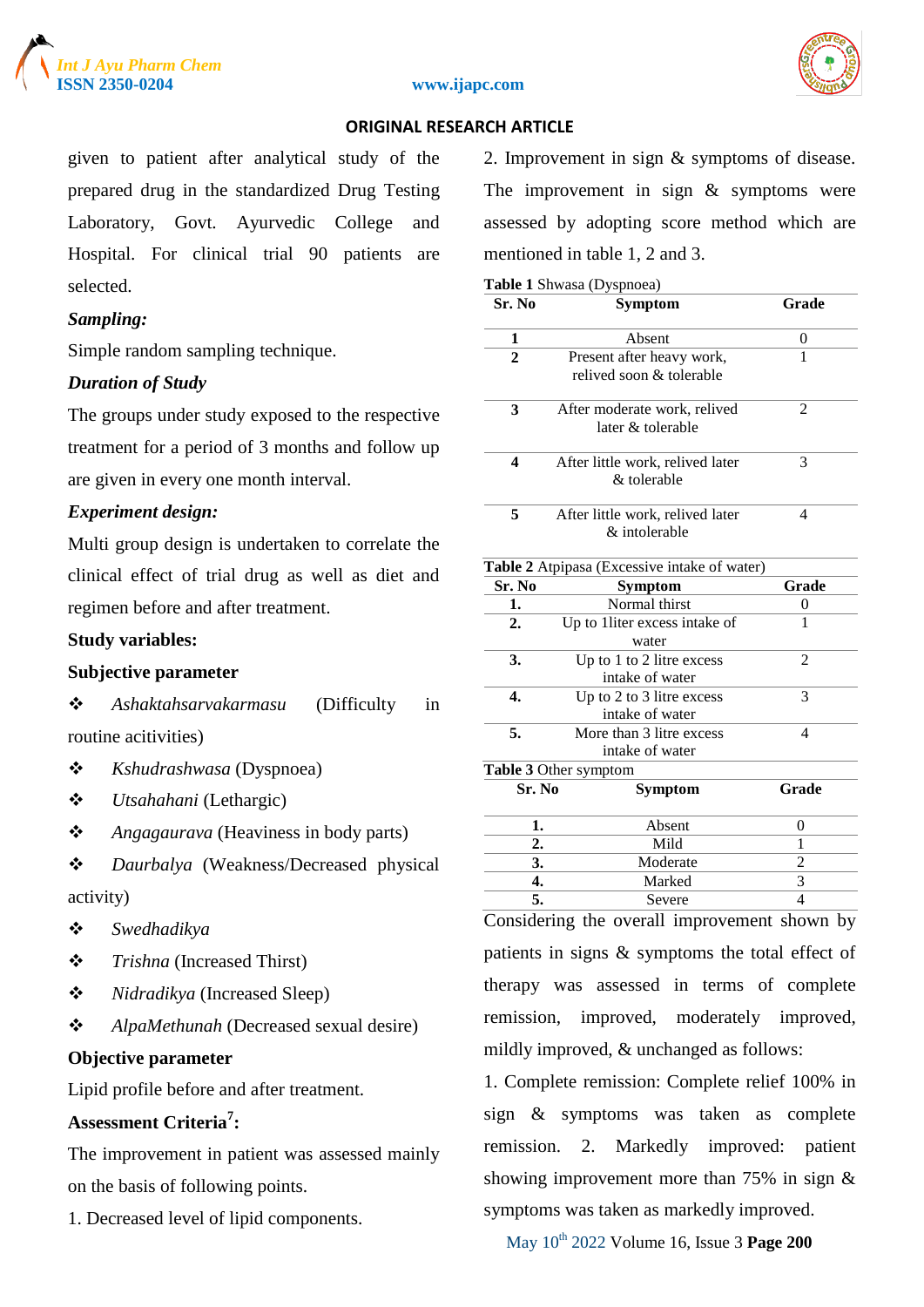





given to patient after analytical study of the prepared drug in the standardized Drug Testing Laboratory, Govt. Ayurvedic College and Hospital. For clinical trial 90 patients are selected.

#### *Sampling:*

Simple random sampling technique.

#### *Duration of Study*

The groups under study exposed to the respective treatment for a period of 3 months and follow up are given in every one month interval.

#### *Experiment design:*

Multi group design is undertaken to correlate the clinical effect of trial drug as well as diet and regimen before and after treatment.

#### **Study variables:**

## **Subjective parameter**

 *Ashaktahsarvakarmasu* (Difficulty in routine acitivities)

- *Kshudrashwasa* (Dyspnoea)
- *Utsahahani* (Lethargic)
- *Angagaurava* (Heaviness in body parts)
- *Daurbalya* (Weakness/Decreased physical activity)
- *Swedhadikya*
- *Trishna* (Increased Thirst)
- *Nidradikya* (Increased Sleep)
- *AlpaMethunah* (Decreased sexual desire)

#### **Objective parameter**

Lipid profile before and after treatment.

# **Assessment Criteria<sup>7</sup> :**

The improvement in patient was assessed mainly on the basis of following points.

1. Decreased level of lipid components.

2. Improvement in sign & symptoms of disease. The improvement in sign  $&$  symptoms were assessed by adopting score method which are mentioned in table 1, 2 and 3.

|  | Table 1 Shwasa (Dyspnoea) |  |
|--|---------------------------|--|
|  |                           |  |

| Sr. No                    | <b>Symptom</b>                                        | Grade                    |  |
|---------------------------|-------------------------------------------------------|--------------------------|--|
| 1                         | Absent                                                | 0                        |  |
| $\overline{2}$            | Present after heavy work,<br>relived soon & tolerable | 1                        |  |
| 3                         | After moderate work, relived<br>later & tolerable     | 2                        |  |
| $\overline{\mathbf{4}}$   | After little work, relived later<br>& tolerable       | 3                        |  |
| 5                         | After little work, relived later<br>& intolerable     | 4                        |  |
|                           | Table 2 Atpipasa (Excessive intake of water)          |                          |  |
| Sr. No                    | <b>Symptom</b>                                        | Grade                    |  |
| 1.                        | Normal thirst                                         | 0                        |  |
| $\overline{2}$ .          | Up to 1liter excess intake of<br>water                | 1                        |  |
| 3.                        | Up to 1 to 2 litre excess<br>intake of water          | $\overline{c}$           |  |
| $\overline{\mathbf{4}}$ . | Up to 2 to 3 litre excess<br>intake of water          | 3                        |  |
| 5.                        | More than 3 litre excess<br>intake of water           | $\overline{\mathcal{L}}$ |  |
|                           | Table 3 Other symptom                                 |                          |  |
| Sr. No                    | <b>Symptom</b>                                        | Grade                    |  |
| 1.                        | Absent                                                | $\overline{0}$           |  |
| 2.                        | Mild                                                  | 1                        |  |
| 3.                        | Moderate                                              | $\overline{c}$           |  |
| 4.                        | Marked                                                | 3                        |  |
| 5.                        | Severe                                                | 4                        |  |
|                           |                                                       |                          |  |

Considering the overall improvement shown by patients in signs & symptoms the total effect of therapy was assessed in terms of complete remission, improved, moderately improved, mildly improved, & unchanged as follows:

1. Complete remission: Complete relief 100% in sign & symptoms was taken as complete remission. 2. Markedly improved: patient showing improvement more than 75% in sign & symptoms was taken as markedly improved.

May 10th 2022 Volume 16, Issue 3 **Page 200**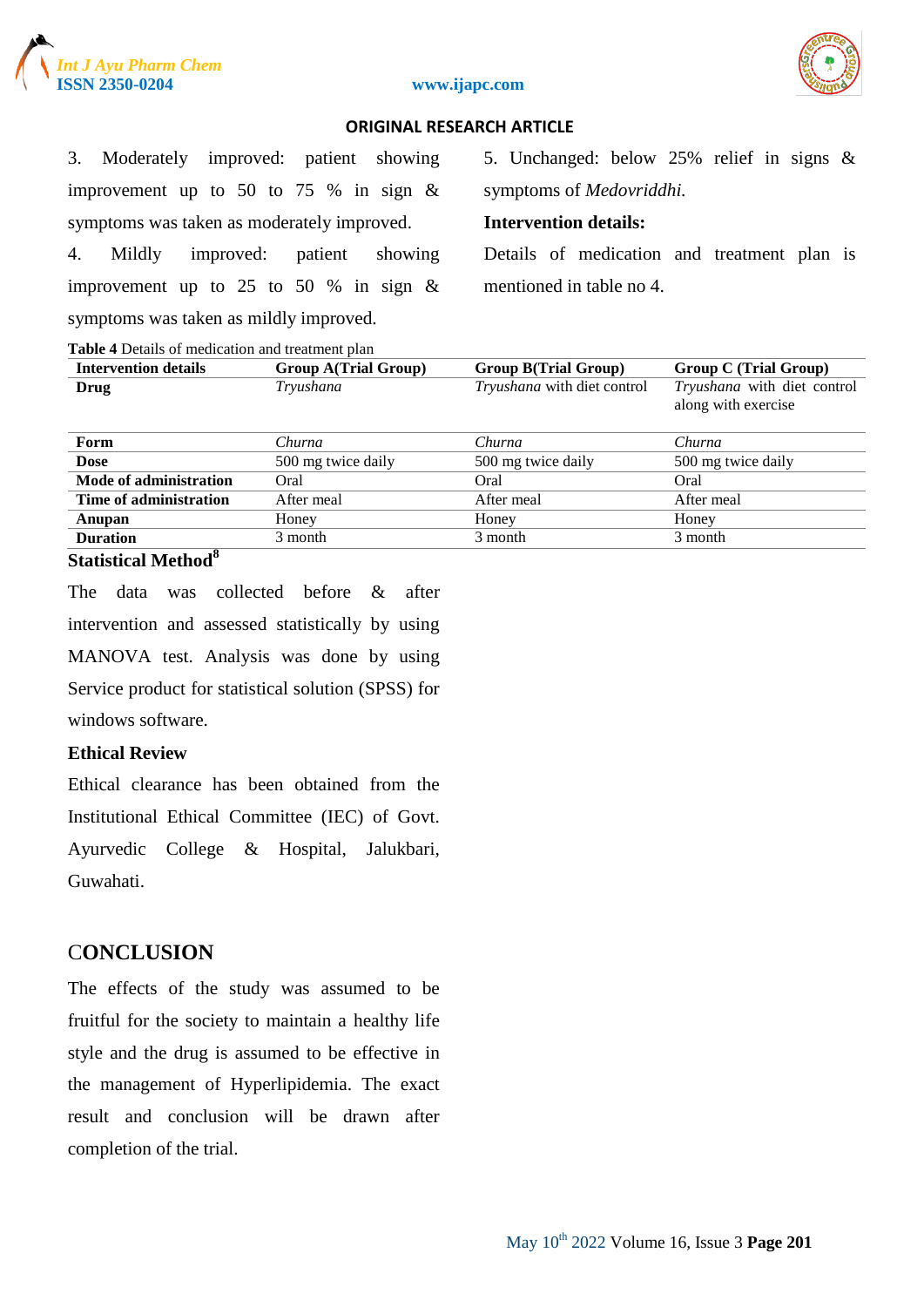





3. Moderately improved: patient showing improvement up to 50 to 75 % in sign  $\&$ symptoms was taken as moderately improved.

4. Mildly improved: patient showing improvement up to 25 to 50 % in sign  $\&$ symptoms was taken as mildly improved.

5. Unchanged: below 25% relief in signs & symptoms of *Medovriddhi.*

#### **Intervention details:**

Details of medication and treatment plan is mentioned in table no 4.

| Table 4 Details of medication and treatment plan |  |
|--------------------------------------------------|--|
|--------------------------------------------------|--|

| <b>Intervention details</b> | <b>Group A(Trial Group)</b> | <b>Group B(Trial Group)</b> | <b>Group C</b> (Trial Group)                       |  |  |  |  |
|-----------------------------|-----------------------------|-----------------------------|----------------------------------------------------|--|--|--|--|
| Drug                        | Tryushana                   | Tryushana with diet control | Tryushana with diet control<br>along with exercise |  |  |  |  |
| Form                        | Churna                      | Churna                      | Churna                                             |  |  |  |  |
| <b>Dose</b>                 | 500 mg twice daily          | 500 mg twice daily          | 500 mg twice daily                                 |  |  |  |  |
| Mode of administration      | Oral                        | Oral                        | Oral                                               |  |  |  |  |
| Time of administration      | After meal                  | After meal                  | After meal                                         |  |  |  |  |
| Anupan                      | Honey                       | Honey                       | Honey                                              |  |  |  |  |
| <b>Duration</b>             | 3 month                     | 3 month                     | 3 month                                            |  |  |  |  |
| $\mathbf{o}$                |                             |                             |                                                    |  |  |  |  |

#### **Statistical Method<sup>8</sup>**

The data was collected before & after intervention and assessed statistically by using MANOVA test. Analysis was done by using Service product for statistical solution (SPSS) for windows software.

#### **Ethical Review**

Ethical clearance has been obtained from the Institutional Ethical Committee (IEC) of Govt. Ayurvedic College & Hospital, Jalukbari, Guwahati.

# C**ONCLUSION**

The effects of the study was assumed to be fruitful for the society to maintain a healthy life style and the drug is assumed to be effective in the management of Hyperlipidemia. The exact result and conclusion will be drawn after completion of the trial.